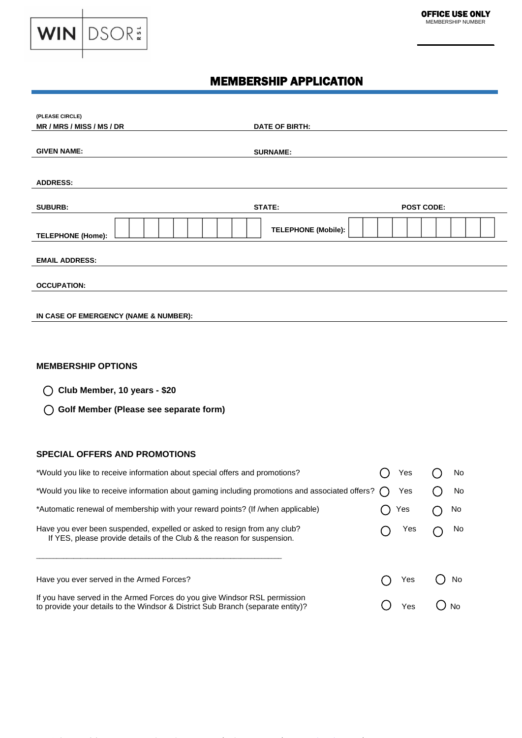

# MEMBERSHIP APPLICATION

| (PLEASE CIRCLE)                       |                                    |  |
|---------------------------------------|------------------------------------|--|
| MR / MRS / MISS / MS / DR             | <b>DATE OF BIRTH:</b>              |  |
|                                       |                                    |  |
| <b>GIVEN NAME:</b>                    | <b>SURNAME:</b>                    |  |
|                                       |                                    |  |
| <b>ADDRESS:</b>                       |                                    |  |
|                                       |                                    |  |
| <b>SUBURB:</b>                        | <b>STATE:</b><br><b>POST CODE:</b> |  |
| <b>TELEPHONE (Home):</b>              | <b>TELEPHONE (Mobile):</b>         |  |
| <b>EMAIL ADDRESS:</b>                 |                                    |  |
| <b>OCCUPATION:</b>                    |                                    |  |
|                                       |                                    |  |
| IN CASE OF EMERGENCY (NAME & NUMBER): |                                    |  |

## **MEMBERSHIP OPTIONS**

**Club Member, 10 years - \$20**

 **Golf Member (Please see separate form)**

### **SPECIAL OFFERS AND PROMOTIONS**

| *Would you like to receive information about special offers and promotions?                                                                                  |  | Yes | No  |
|--------------------------------------------------------------------------------------------------------------------------------------------------------------|--|-----|-----|
| *Would you like to receive information about gaming including promotions and associated offers?                                                              |  | Yes | No  |
| *Automatic renewal of membership with your reward points? (If /when applicable)                                                                              |  | Yes | No. |
| Have you ever been suspended, expelled or asked to resign from any club?<br>If YES, please provide details of the Club & the reason for suspension.          |  |     | No  |
| Have you ever served in the Armed Forces?                                                                                                                    |  | Yes | No. |
| If you have served in the Armed Forces do you give Windsor RSL permission<br>to provide your details to the Windsor & District Sub Branch (separate entity)? |  | Yes | N٥  |

**Windsor RSL Club** PO Box 5618 South Windsor NSW 2756 │ Tel 02 4587 6900 │ [www.windsorrsl.com.au](http://www.windsorrsl.com.au/) │ ABN: 87 000 811 290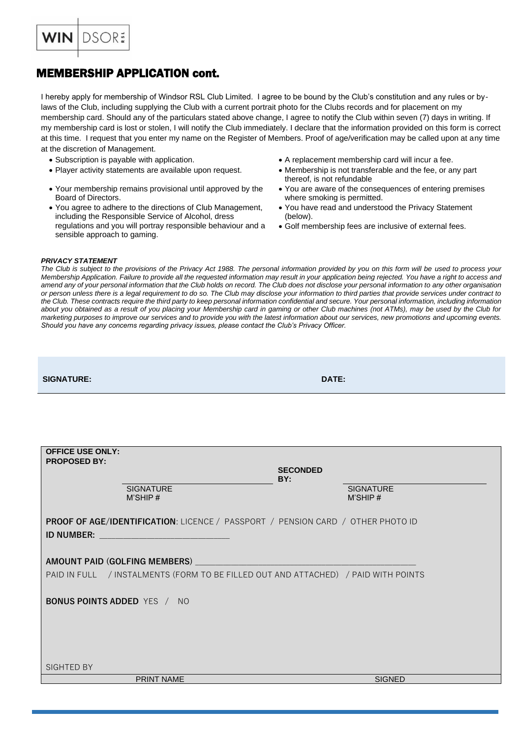

# MEMBERSHIP APPLICATION cont.

I hereby apply for membership of Windsor RSL Club Limited. I agree to be bound by the Club's constitution and any rules or bylaws of the Club, including supplying the Club with a current portrait photo for the Clubs records and for placement on my membership card. Should any of the particulars stated above change, I agree to notify the Club within seven (7) days in writing. If my membership card is lost or stolen, I will notify the Club immediately. I declare that the information provided on this form is correct at this time. I request that you enter my name on the Register of Members. Proof of age/verification may be called upon at any time at the discretion of Management.

- 
- 
- Your membership remains provisional until approved by the Board of Directors.
- You agree to adhere to the directions of Club Management, including the Responsible Service of Alcohol, dress regulations and you will portray responsible behaviour and a sensible approach to gaming.
- Subscription is payable with application. • A replacement membership card will incur a fee.
- Player activity statements are available upon request. Membership is not transferable and the fee, or any part thereof, is not refundable
	- You are aware of the consequences of entering premises where smoking is permitted.
	- You have read and understood the Privacy Statement (below).
	- Golf membership fees are inclusive of external fees.

#### *PRIVACY STATEMENT*

*The Club is subject to the provisions of the Privacy Act 1988. The personal information provided by you on this form will be used to process your Membership Application. Failure to provide all the requested information may result in your application being rejected. You have a right to access and amend any of your personal information that the Club holds on record. The Club does not disclose your personal information to any other organisation or person unless there is a legal requirement to do so. The Club may disclose your information to third parties that provide services under contract to the Club. These contracts require the third party to keep personal information confidential and secure. Your personal information, including information about you obtained as a result of you placing your Membership card in gaming or other Club machines (not ATMs), may be used by the Club for marketing purposes to improve our services and to provide you with the latest information about our services, new promotions and upcoming events. Should you have any concerns regarding privacy issues, please contact the Club's Privacy Officer.*

| <b>SIGNATURE:</b> | <b>DATE:</b> |
|-------------------|--------------|
|                   |              |

| <b>OFFICE USE ONLY:</b><br><b>PROPOSED BY:</b> |                                                                                                                 |                 |                             |  |
|------------------------------------------------|-----------------------------------------------------------------------------------------------------------------|-----------------|-----------------------------|--|
|                                                |                                                                                                                 | <b>SECONDED</b> |                             |  |
|                                                | <b>SIGNATURE</b><br>M'SHIP#                                                                                     | BY:             | <b>SIGNATURE</b><br>M'SHIP# |  |
|                                                | <b>PROOF OF AGE/IDENTIFICATION: LICENCE / PASSPORT / PENSION CARD / OTHER PHOTO ID</b>                          |                 |                             |  |
|                                                | ID NUMBER: New York State State State State State State State State State State State State State State State S |                 |                             |  |
|                                                | AMOUNT PAID (GOLFING MEMBERS) __________                                                                        |                 |                             |  |
|                                                |                                                                                                                 |                 |                             |  |
|                                                | PAID IN FULL / INSTALMENTS (FORM TO BE FILLED OUT AND ATTACHED) / PAID WITH POINTS                              |                 |                             |  |
|                                                |                                                                                                                 |                 |                             |  |
| <b>BONUS POINTS ADDED</b> YES / NO             |                                                                                                                 |                 |                             |  |
|                                                |                                                                                                                 |                 |                             |  |
|                                                |                                                                                                                 |                 |                             |  |
|                                                |                                                                                                                 |                 |                             |  |
| SIGHTED BY                                     |                                                                                                                 |                 |                             |  |
|                                                |                                                                                                                 |                 |                             |  |
|                                                | <b>PRINT NAME</b>                                                                                               |                 | <b>SIGNED</b>               |  |
|                                                |                                                                                                                 |                 |                             |  |